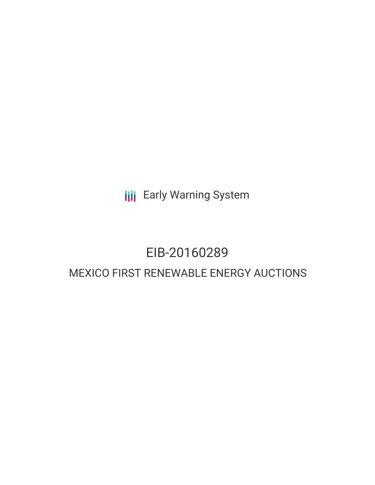**III** Early Warning System

# EIB-20160289 MEXICO FIRST RENEWABLE ENERGY AUCTIONS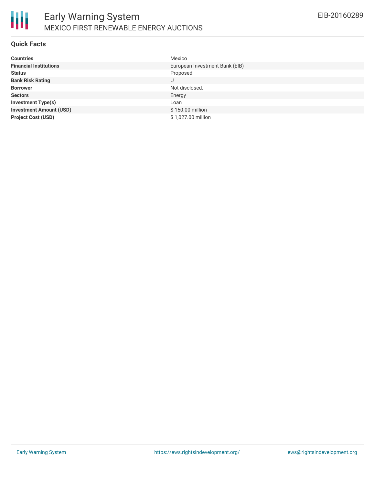

#### **Quick Facts**

| <b>Countries</b>               | Mexico                         |
|--------------------------------|--------------------------------|
| <b>Financial Institutions</b>  | European Investment Bank (EIB) |
| <b>Status</b>                  | Proposed                       |
| <b>Bank Risk Rating</b>        | U                              |
| <b>Borrower</b>                | Not disclosed.                 |
| <b>Sectors</b>                 | Energy                         |
| <b>Investment Type(s)</b>      | Loan                           |
| <b>Investment Amount (USD)</b> | \$150.00 million               |
| <b>Project Cost (USD)</b>      | \$1,027.00 million             |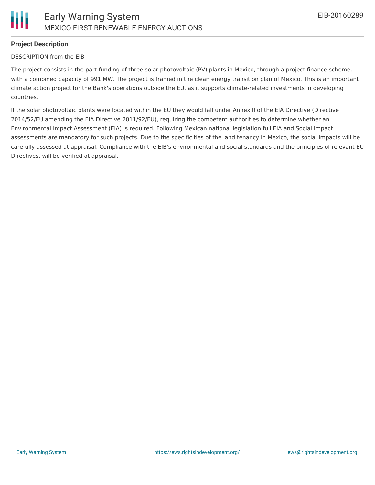

## **Project Description**

#### DESCRIPTION from the EIB

The project consists in the part-funding of three solar photovoltaic (PV) plants in Mexico, through a project finance scheme, with a combined capacity of 991 MW. The project is framed in the clean energy transition plan of Mexico. This is an important climate action project for the Bank's operations outside the EU, as it supports climate-related investments in developing countries.

If the solar photovoltaic plants were located within the EU they would fall under Annex II of the EIA Directive (Directive 2014/52/EU amending the EIA Directive 2011/92/EU), requiring the competent authorities to determine whether an Environmental Impact Assessment (EIA) is required. Following Mexican national legislation full EIA and Social Impact assessments are mandatory for such projects. Due to the specificities of the land tenancy in Mexico, the social impacts will be carefully assessed at appraisal. Compliance with the EIB's environmental and social standards and the principles of relevant EU Directives, will be verified at appraisal.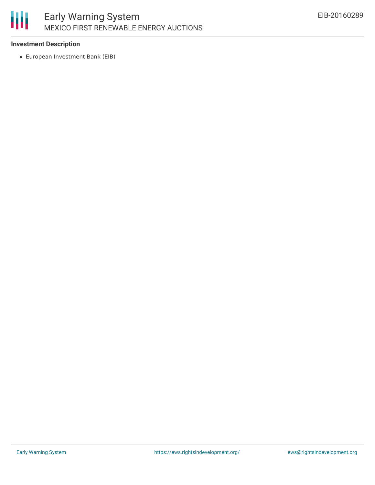

### **Investment Description**

European Investment Bank (EIB)